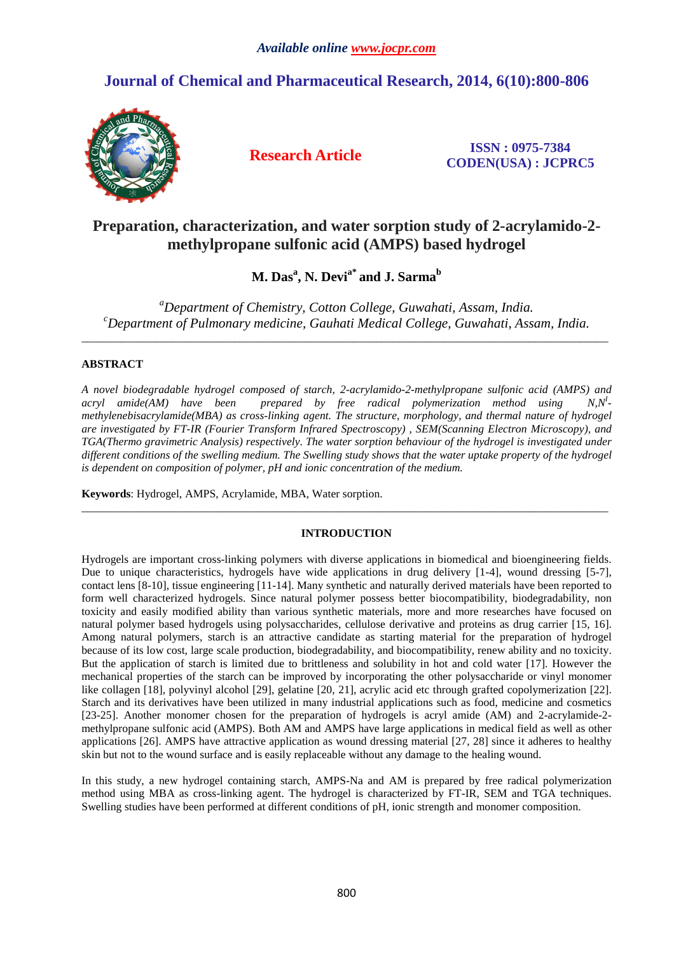# **Journal of Chemical and Pharmaceutical Research, 2014, 6(10):800-806**



**Research Article ISSN : 0975-7384 CODEN(USA) : JCPRC5**

# **Preparation, characterization, and water sorption study of 2-acrylamido-2 methylpropane sulfonic acid (AMPS) based hydrogel**

# **M. Das<sup>a</sup> , N. Devia\* and J. Sarma<sup>b</sup>**

*<sup>a</sup>Department of Chemistry, Cotton College, Guwahati, Assam, India. <sup>c</sup>Department of Pulmonary medicine, Gauhati Medical College, Guwahati, Assam, India.* 

\_\_\_\_\_\_\_\_\_\_\_\_\_\_\_\_\_\_\_\_\_\_\_\_\_\_\_\_\_\_\_\_\_\_\_\_\_\_\_\_\_\_\_\_\_\_\_\_\_\_\_\_\_\_\_\_\_\_\_\_\_\_\_\_\_\_\_\_\_\_\_\_\_\_\_\_\_\_\_\_\_\_\_\_\_\_\_\_\_\_\_\_\_

## **ABSTRACT**

*A novel biodegradable hydrogel composed of starch, 2-acrylamido-2-methylpropane sulfonic acid (AMPS) and acryl* amide(AM) have been prepared by free radical polymerization method using  $N.N^I$ *methylenebisacrylamide(MBA) as cross-linking agent. The structure, morphology, and thermal nature of hydrogel are investigated by FT-IR (Fourier Transform Infrared Spectroscopy) , SEM(Scanning Electron Microscopy), and TGA(Thermo gravimetric Analysis) respectively. The water sorption behaviour of the hydrogel is investigated under different conditions of the swelling medium. The Swelling study shows that the water uptake property of the hydrogel is dependent on composition of polymer, pH and ionic concentration of the medium.* 

**Keywords**: Hydrogel, AMPS, Acrylamide, MBA, Water sorption.

### **INTRODUCTION**

 $\overline{a}$  , and the contribution of the contribution of the contribution of the contribution of the contribution of the contribution of the contribution of the contribution of the contribution of the contribution of the co

Hydrogels are important cross-linking polymers with diverse applications in biomedical and bioengineering fields. Due to unique characteristics, hydrogels have wide applications in drug delivery [1-4], wound dressing [5-7], contact lens [8-10], tissue engineering [11-14]. Many synthetic and naturally derived materials have been reported to form well characterized hydrogels. Since natural polymer possess better biocompatibility, biodegradability, non toxicity and easily modified ability than various synthetic materials, more and more researches have focused on natural polymer based hydrogels using polysaccharides, cellulose derivative and proteins as drug carrier [15, 16]. Among natural polymers, starch is an attractive candidate as starting material for the preparation of hydrogel because of its low cost, large scale production, biodegradability, and biocompatibility, renew ability and no toxicity. But the application of starch is limited due to brittleness and solubility in hot and cold water [17]. However the mechanical properties of the starch can be improved by incorporating the other polysaccharide or vinyl monomer like collagen [18], polyvinyl alcohol [29], gelatine [20, 21], acrylic acid etc through grafted copolymerization [22]. Starch and its derivatives have been utilized in many industrial applications such as food, medicine and cosmetics [23-25]. Another monomer chosen for the preparation of hydrogels is acryl amide (AM) and 2-acrylamide-2 methylpropane sulfonic acid (AMPS). Both AM and AMPS have large applications in medical field as well as other applications [26]. AMPS have attractive application as wound dressing material [27, 28] since it adheres to healthy skin but not to the wound surface and is easily replaceable without any damage to the healing wound.

In this study, a new hydrogel containing starch, AMPS-Na and AM is prepared by free radical polymerization method using MBA as cross-linking agent. The hydrogel is characterized by FT-IR, SEM and TGA techniques. Swelling studies have been performed at different conditions of pH, ionic strength and monomer composition.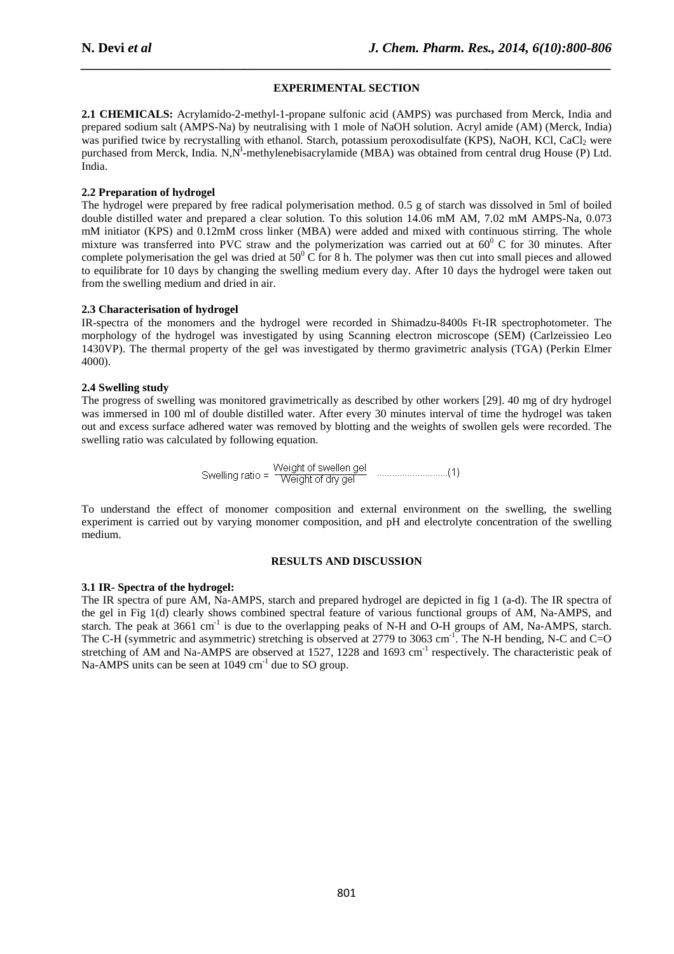### **EXPERIMENTAL SECTION**

*\_\_\_\_\_\_\_\_\_\_\_\_\_\_\_\_\_\_\_\_\_\_\_\_\_\_\_\_\_\_\_\_\_\_\_\_\_\_\_\_\_\_\_\_\_\_\_\_\_\_\_\_\_\_\_\_\_\_\_\_\_\_\_\_\_\_\_\_\_\_\_\_\_\_\_\_\_\_*

2.1 CHEMICALS: Acrylamido-2-methyl-1-propane sulfonic acid (AMPS) was purchased from Merck, India and prepared sodium salt (AMPS-Na) by neutralising with 1 mole of NaOH solution. Acryl amide (AM) (Merck, India) **2.1 CHEMICALS:** Acrylamido-2-methyl-1-propane sulfonic acid (AMPS) was purchased from Merck, India and prepared sodium salt (AMPS-Na) by neutralising with 1 mole of NaOH solution. Acryl amide (AM) (Merck, India) was purif purchased from Merck, India. N,N<sup>I</sup>-methylenebisacrylamide (MBA) was obtained from central drug House (P) Ltd. India.

### **2.2 Preparation of hydrogel**

The hydrogel were prepared by free radical polymerisation method. 0.5 g of starch was dissolved in 5ml of boiled purchased from Merck, India. N,N<sup>1</sup>-methylenebisacrylamide (MBA) was obtained from central drug House (P) Ltd.<br>India.<br>**2.2 Preparation of hydrogel**<br>The hydrogel were prepared by free radical polymerisation method. 0.5 g of mM initiator (KPS) and 0.12mM cross linker (MBA) were added and mixed with continuous stirring. The whole mixture was transferred into PVC straw and the polymerization was carried out at  $60^{\circ}$  C for 30 minutes. After complete polymerisation the gel was dried at  $50^{\circ}$ C for 8 h. The polymer was then cut into small pieces and allowed to equilibrate for 10 days by changing the swelling medium every day. After 10 days the hydrogel were taken out from the swelling medium and dried in air. to equilibrate for 10 days by changing the swelling medium every day. After 10 days the hydrogel were taken out<br> **2.3 Characterisation of hydrogel**<br>IR-spectra of the monomers and the hydrogel were recorded in Shimadzu-8400

### **2.3 Characterisation of hydrogel**

morphology of the hydrogel was investigated by using Scanning electron microscope (SEM) (Carlzeissieo Leo 1430VP). The thermal property of the gel was investigated by thermo gravimetric analysis (TGA) (Perkin Elmer 4000).

### **2.4 Swelling study**

The progress of swelling was monitored gravimetrically as described by other workers [29]. 40 mg of dry hydrogel was immersed in 100 ml of double distilled water. After every 30 minutes interval of time the hydrogel was taken out and excess surface adhered water was removed by blotting and the weights of swollen gels were recorded. The swelling ratio was calculated by following equation. out and excess surface adhered water was removed by blotting and the weights of swollen gels were recorded. The<br>swelling ratio was calculated by following equation.<br>Swelling ratio =  $\frac{\text{Weight of } \text{dry gel}}{\text{Weight of } \text{dry gel}}$  .........

Swelling ratio = \n
$$
\frac{\text{Weight of wellen gel}}{\text{Weight of dry gel}}
$$
\n

experiment is carried out by varying monomer composition, and pH and electrolyte concentration of the swelling medium.

#### **RESULTS AND DISCUSSION**

#### **3.1 IR- Spectra of the hydrogel:**

The IR spectra of pure AM, Na-AMPS, starch and prepared hydrogel are depicted in fig 1 (a-d). The IR spectra of the gel in Fig 1(d) clearly shows combined spectral feature of various functional groups of AM, Na Na-AMPS, and starch. The peak at  $3661 \text{ cm}^{-1}$  is due to the overlapping peaks of N-H and O-H groups of AM, Na-AMPS, starch. The C-H (symmetric and asymmetric) stretching is observed at 2779 to 3063 cm<sup>-1</sup>. The N-H bending, N-C and C=O stretching of AM and Na-AMPS are observed at 1527, 1228 and 1693 cm<sup>-1</sup> respectively. The characteristic peak of Na-AMPS units can be seen at  $1049 \text{ cm}^{-1}$  due to SO group.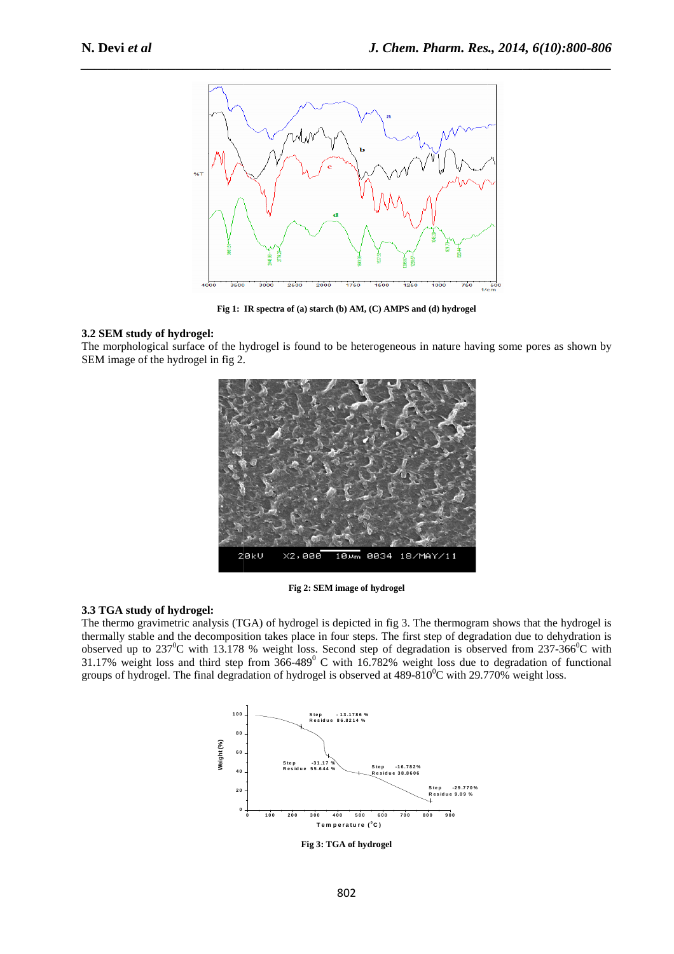

**Fig 1: IR spectra of (a) starch (b) AM, (C) AMPS and (d) hydrogel**

### **3.2 SEM study of hydrogel:**

The morphological surface of the hydrogel is found to be heterogeneous in nature having some pores as shown by SEM image of the hydrogel in fig 2.



**Fig 2: SEM image of hydrogel** 

#### **3.3 TGA study of hydrogel:**

The thermo gravimetric analysis (TGA) of hydrogel is depicted in fig 3. The thermogram shows that the hydrogel is thermally stable and the decomposition takes place in four steps. The first step of degradation due to dehydration is observed up to  $237^0C$  with 13.178 % weight loss. Second step of degradation is observed from  $237-366^0C$  with 31.17% weight loss and third step from  $366-489$ <sup>0</sup> C with 16.782% weight loss due to degradation of functional groups of hydrogel. The final degradation of hydrogel is observed at  $489-810^{\circ}$ C with 29.770% weight loss.



**Fig 3: TGA of hydrogel**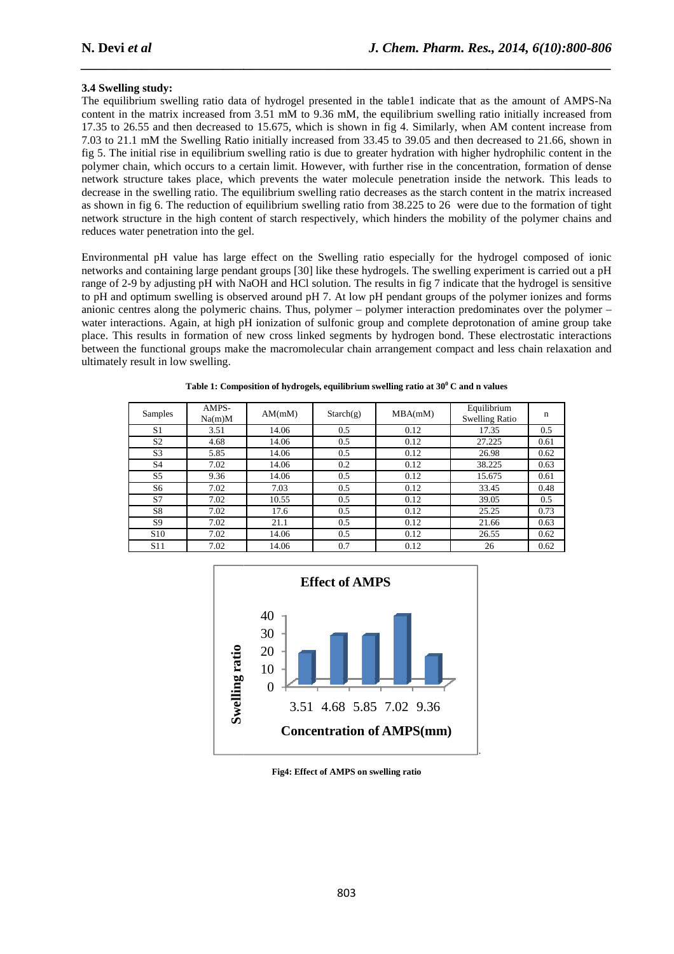#### **3.4 Swelling study:**

The equilibrium swelling ratio data of hydrogel presented in the table1 indicate that as the amount of AMPS-Na content in the matrix increased from 3.51 mM to 9.36 mM, the equilibrium swelling ratio initially increased from 17.35 to 26.55 and then decreased to 15.675, which is shown in fig 4. Similarly, when AM content increase from 7.03 to 21.1 mM the Swelling Ratio initially increased from 33.45 to 39.05 and then decreased to 21.66, shown in fig 5. The initial rise in equilibrium swelling ratio is due to greater hydration with higher hydrophilic content in the polymer chain, which occurs to a certain limit. However, with further rise in the concentration, formation of dense network structure takes place, which prevents the water molecule penetration inside the network. This leads to decrease in the swelling ratio. The equilibrium swelling ratio decreases as the starch content in the matrix increased as shown in fig 6. The reduction of equilibrium s swelling ratio from 38.225 to 26 were due to the formation of tight network structure in the high content of starch respectively, which hinders the mobility of the polymer chains and reduces water penetration into the gel. d to 15.675, which is shown in fig 4. Similarly, when AM content increase from this initially increased from 33.45 to 39.05 and then decreased to 21.66, shown in m swelling ratio is due to greater hydration with higher hyd

*\_\_\_\_\_\_\_\_\_\_\_\_\_\_\_\_\_\_\_\_\_\_\_\_\_\_\_\_\_\_\_\_\_\_\_\_\_\_\_\_\_\_\_\_\_\_\_\_\_\_\_\_\_\_\_\_\_\_\_\_\_\_\_\_\_\_\_\_\_\_\_\_\_\_\_\_\_\_*

Environmental pH value has large effect on the Swelling ratio especially for the hydrogel composed of ionic Environmental pH value has large effect on the Swelling ratio especially for the hydrogel composed of ionic<br>networks and containing large pendant groups [30] like these hydrogels. The swelling experiment is carried out a p range of 2-9 by adjusting pH with NaOH and HCl solution. The results in fig 7 indicate that the hydrogel is sensitive to pH and optimum swelling is observed around pH 7. At low pH pendant groups of the polymer ionizes and forms anionic centres along the polymeric chains. Thus, polymer – polymer interaction predominate water interactions. Again, at high pH ionization of sulfonic group and complete deprotonation of amine group take place. This results in formation of new cross linked segments by hydrogen bond. These electrostatic interactions between the functional groups make the macromolecular chain arrangement compact and less chain relaxation and ultimately result in low swelling. welling ratio from 38.225 to 26 were due to the formation of tight<br>espectively, which hinders the mobility of the polymer chains and<br>e Swelling ratio especially for the hydrogel composed of ionic<br>oll like these hydrogels.

| Samples         | AMPS-<br>Na(m)M | AM(mM) | Starch(g) | MBA(mM) | Equilibrium<br><b>Swelling Ratio</b> | n    |
|-----------------|-----------------|--------|-----------|---------|--------------------------------------|------|
| S <sub>1</sub>  | 3.51            | 14.06  | 0.5       | 0.12    | 17.35                                | 0.5  |
| S <sub>2</sub>  | 4.68            | 14.06  | 0.5       | 0.12    | 27.225                               | 0.61 |
| S <sub>3</sub>  | 5.85            | 14.06  | 0.5       | 0.12    | 26.98                                | 0.62 |
| S <sub>4</sub>  | 7.02            | 14.06  | 0.2       | 0.12    | 38.225                               | 0.63 |
| S <sub>5</sub>  | 9.36            | 14.06  | 0.5       | 0.12    | 15.675                               | 0.61 |
| S6              | 7.02            | 7.03   | 0.5       | 0.12    | 33.45                                | 0.48 |
| S7              | 7.02            | 10.55  | 0.5       | 0.12    | 39.05                                | 0.5  |
| S8              | 7.02            | 17.6   | 0.5       | 0.12    | 25.25                                | 0.73 |
| S <sub>9</sub>  | 7.02            | 21.1   | 0.5       | 0.12    | 21.66                                | 0.63 |
| S <sub>10</sub> | 7.02            | 14.06  | 0.5       | 0.12    | 26.55                                | 0.62 |
| S <sub>11</sub> | 7.02            | 14.06  | 0.7       | 0.12    | 26                                   | 0.62 |

|  |  |  |  |  |  | Table 1: Composition of hydrogels, equilibrium swelling ratio at $30^{\rm o}$ C and n values |
|--|--|--|--|--|--|----------------------------------------------------------------------------------------------|
|--|--|--|--|--|--|----------------------------------------------------------------------------------------------|



**Fig4: Effect of AMPS on swelling ratio**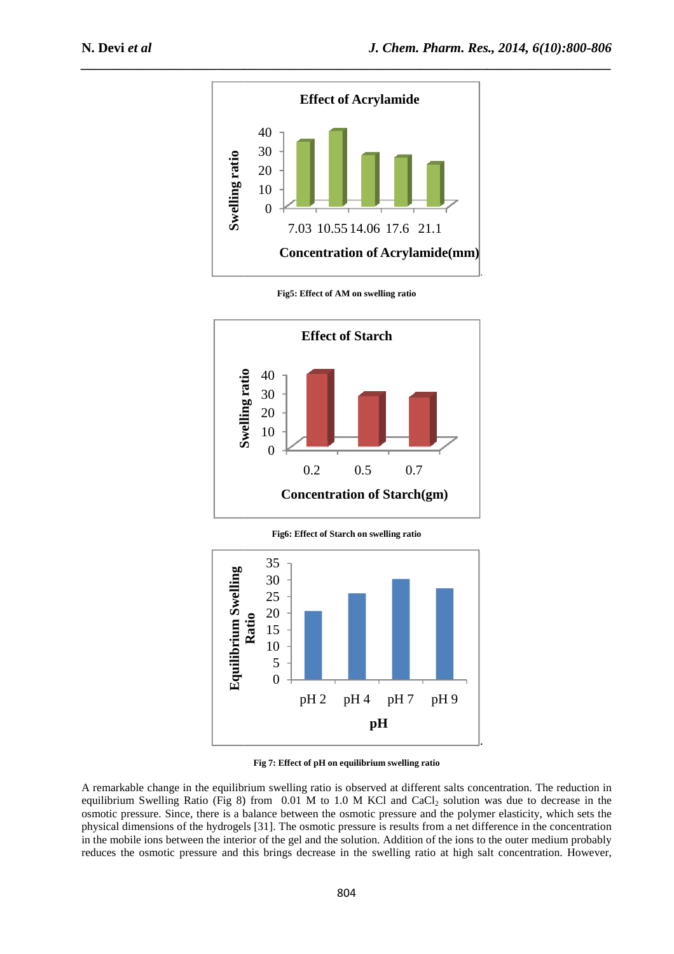

*\_\_\_\_\_\_\_\_\_\_\_\_\_\_\_\_\_\_\_\_\_\_\_\_\_\_\_\_\_\_\_\_\_\_\_\_\_\_\_\_\_\_\_\_\_\_\_\_\_\_\_\_\_\_\_\_\_\_\_\_\_\_\_\_\_\_\_\_\_\_\_\_\_\_\_\_\_\_*



**Fig5: Effect of AM on swelling ratio**

**Fig6: Effect of Starch on swelling ratio** 



**Fig 7: Effect of pH on equilibrium swelling ratio** 

A remarkable change in the equilibrium swelling ratio is observed at different salts concentration. The reduction in equilibrium Swelling Ratio (Fig 8) from 0.01 M to 1.0 M KCl and CaCl <sup>2</sup> solution was due to decrease in the osmotic pressure. Since, there is a balance between the osmotic pressure and the polymer elasticity, which sets the physical dimensions of the hydrogels [31]. The osmotic pressure is results from a net difference in the concentration in the mobile ions between the interior of the gel and the solution. Addition of the ions to the outer medium probably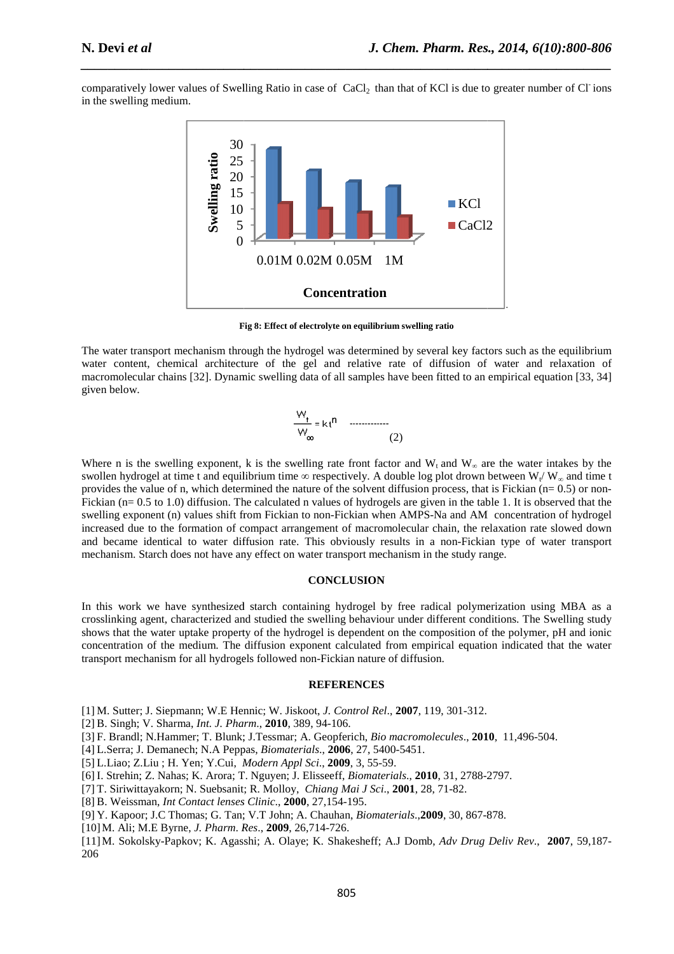comparatively lower values of Swelling Ratio in case of CaCl<sub>2</sub> than that of KCl is due to greater number of Cl ions in the swelling medium.

*\_\_\_\_\_\_\_\_\_\_\_\_\_\_\_\_\_\_\_\_\_\_\_\_\_\_\_\_\_\_\_\_\_\_\_\_\_\_\_\_\_\_\_\_\_\_\_\_\_\_\_\_\_\_\_\_\_\_\_\_\_\_\_\_\_\_\_\_\_\_\_\_\_\_\_\_\_\_*



**Fig 8: Effect of electrolyte on equilibrium swelling ratio**

The water transport mechanism through the hydrogel was determined by several key factors such as the equilibrium water content, chemical architecture of the gel and relative rate of diffusion of water and relaxation of macromolecular chains [32]. Dynamic swelling data of all samples have been fitted to an empi ]. (2) empirical equation [33, 34] given below.

$$
\frac{W_t}{W_{\infty}} = k t^{n}
$$
 ......(2)

Where n is the swelling exponent, k is the swelling rate front factor and  $W_t$  and  $W_\infty$  are the water intakes by the swollen hydrogel at time t and equilibrium time  $\infty$  respectively. A double log plot drown between  $W_t / W_\infty$  and time t provides the value of n, which determined the nature of the solvent diffusion process, that is Fickian  $(n=0.5)$  or non-Fickian (n= 0.5 to 1.0) diffusion. The calculated n values of hydrogels are given in the table 1. It is observed that the swelling exponent (n) values shift from Fickian to non-Fickian when AMPS-Na and AM concentration of hydrogel increased due to the formation of compact arrangement of macromolecular chain, the relaxation rate slowed down and became identical to water diffusion rate. This obviously results in a non-Fickian type of water transport mechanism. Starch does not have any effect on water transport mechanism in the study range.

#### **CONCLUSION**

In this work we have synthesized starch containing hydrogel by free radical polymerization using MBA as a crosslinking agent, characterized and studied the swelling be behaviour under different conditions. The Swelling study shows that the water uptake property of the hydrogel is dependent on the composition of the polymer, pH and ionic concentration of the medium. The diffusion exponent calculated from empirical equation transport mechanism for all hydrogels followed non-Fickian nature of diffusion. Isly results in a non-Fickian type of water transport<br>Fickian that the study range.<br>FION<br>SION<br>SION<br>Indian the radical polymerization using MBA as a<br>haviour under different conditions. The Swelling study<br>Indent on the compo

#### **REFERENCES**

[1] M. Sutter; J. Siepmann; W.E Hennic; Hennic; W. Jiskoot, *J. Control Rel*., **2007**, 119, 301-312.

- [2] B. Singh; V. Sharma, *Int. J. Pharm* ., **2010**, 389, 94-106.
- [3] F. Brandl; N.Hammer; T. Blunk; J.Tessmar; J.Tessmar; A. Geopferich, *Bio macromolecules*., **2010** , 11,496-504.
- [4] L.Serra; J. Demanech; N.A Peppas, *Biomaterials*., **2006**, 27, 5400-5451.
- [5] L.Liao; Z.Liu ; H. Yen; Y.Cui, *Modern Appl Sci* ., **2009**, 3, 55-59.
- 
- [7] T. Siriwittayakorn; N. Suebsanit; Suebsanit; R. Molloy, *Chiang Mai J Sci*., **2001**, 28, 71-82.
- [8] B. Weissman, *Int Contact lenses Clinic* ., **2000**, 27,154-195.
- [6] I. Strehin; Z. Nahas; K. Arora; T. Nguyen; J. Elisseeff, *Biomaterials.*, **2010**, 31, 2788-2797.<br>[7] T. Siriwittayakorn; N. Suebsanit; R. Molloy, *Chiang Mai J Sci.*, **2001**, 28, 71-82.<br>[8] B. Weissman, *Int Contact le* [9] Y. Kapoor; J.C Thomas; G. Tan; V.T John; A. Chauhan, *Biomaterials*.,**2009**, 30, 867-878
- [10]M. Ali; M.E Byrne, *J. Pharm*. *Res* ., **2009**, 26,714-726.
- [11] M. Sokolsky-Papkov; K. Agasshi; A. Olaye; K. Shakesheff; A.J Domb, Adv Drug Deliv Rev., 2007, 59,187-206